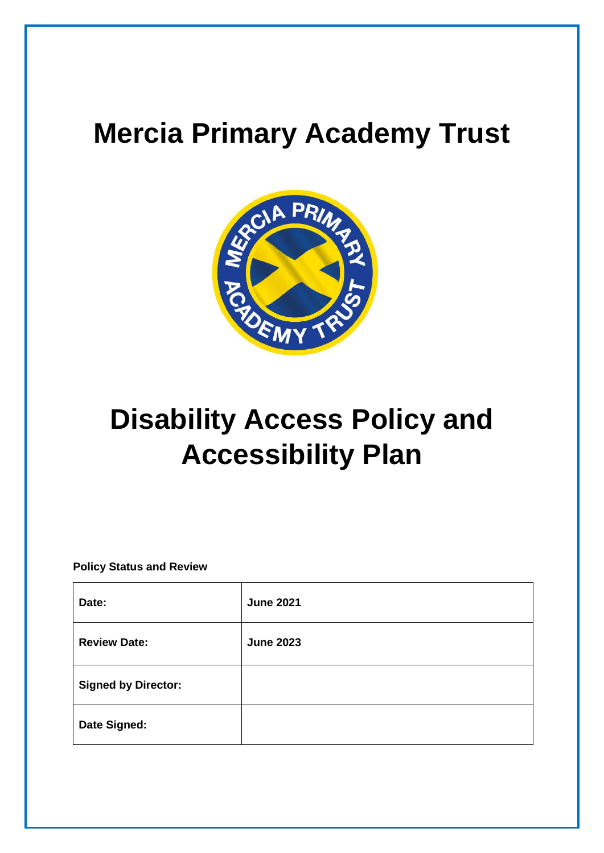# **Mercia Primary Academy Trust**



# **Disability Access Policy and Accessibility Plan**

**Policy Status and Review**

| Date:                      | <b>June 2021</b> |
|----------------------------|------------------|
| <b>Review Date:</b>        | <b>June 2023</b> |
| <b>Signed by Director:</b> |                  |
| Date Signed:               |                  |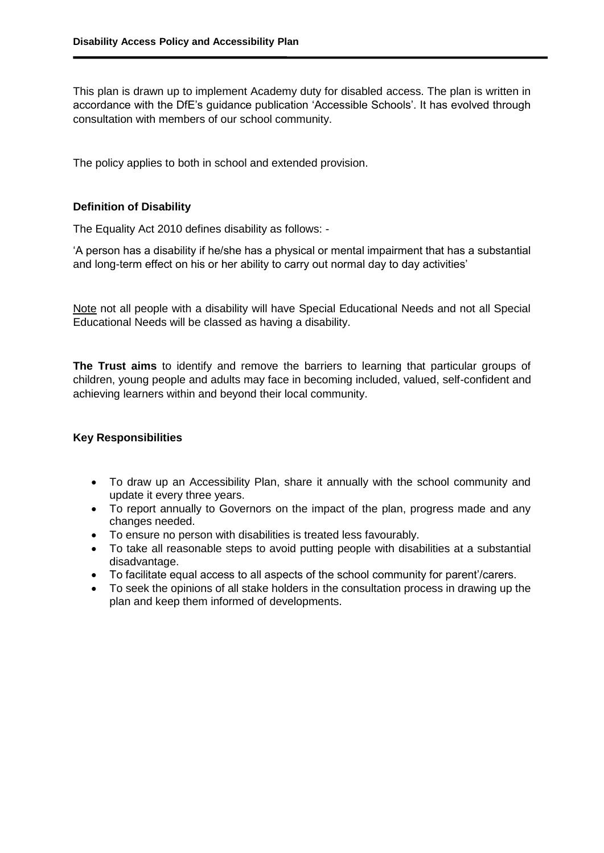This plan is drawn up to implement Academy duty for disabled access. The plan is written in accordance with the DfE's guidance publication 'Accessible Schools'. It has evolved through consultation with members of our school community.

The policy applies to both in school and extended provision.

#### **Definition of Disability**

The Equality Act 2010 defines disability as follows: -

'A person has a disability if he/she has a physical or mental impairment that has a substantial and long-term effect on his or her ability to carry out normal day to day activities'

Note not all people with a disability will have Special Educational Needs and not all Special Educational Needs will be classed as having a disability.

**The Trust aims** to identify and remove the barriers to learning that particular groups of children, young people and adults may face in becoming included, valued, self-confident and achieving learners within and beyond their local community.

### **Key Responsibilities**

- To draw up an Accessibility Plan, share it annually with the school community and update it every three years.
- To report annually to Governors on the impact of the plan, progress made and any changes needed.
- To ensure no person with disabilities is treated less favourably.
- To take all reasonable steps to avoid putting people with disabilities at a substantial disadvantage.
- To facilitate equal access to all aspects of the school community for parent'/carers.
- To seek the opinions of all stake holders in the consultation process in drawing up the plan and keep them informed of developments.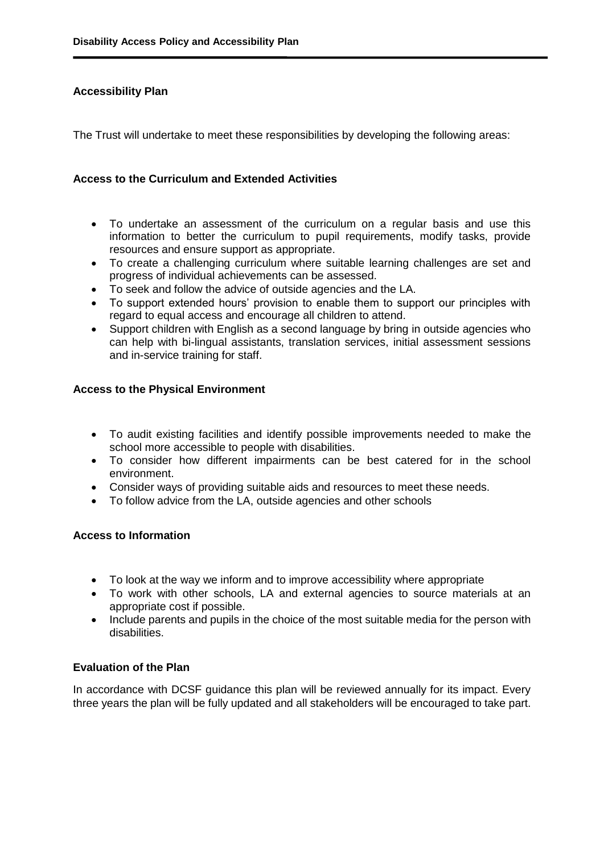# **Accessibility Plan**

The Trust will undertake to meet these responsibilities by developing the following areas:

#### **Access to the Curriculum and Extended Activities**

- To undertake an assessment of the curriculum on a regular basis and use this information to better the curriculum to pupil requirements, modify tasks, provide resources and ensure support as appropriate.
- To create a challenging curriculum where suitable learning challenges are set and progress of individual achievements can be assessed.
- To seek and follow the advice of outside agencies and the LA.
- To support extended hours' provision to enable them to support our principles with regard to equal access and encourage all children to attend.
- Support children with English as a second language by bring in outside agencies who can help with bi-lingual assistants, translation services, initial assessment sessions and in-service training for staff.

### **Access to the Physical Environment**

- To audit existing facilities and identify possible improvements needed to make the school more accessible to people with disabilities.
- To consider how different impairments can be best catered for in the school environment.
- Consider ways of providing suitable aids and resources to meet these needs.
- To follow advice from the LA, outside agencies and other schools

### **Access to Information**

- To look at the way we inform and to improve accessibility where appropriate
- To work with other schools, LA and external agencies to source materials at an appropriate cost if possible.
- Include parents and pupils in the choice of the most suitable media for the person with disabilities.

### **Evaluation of the Plan**

In accordance with DCSF guidance this plan will be reviewed annually for its impact. Every three years the plan will be fully updated and all stakeholders will be encouraged to take part.